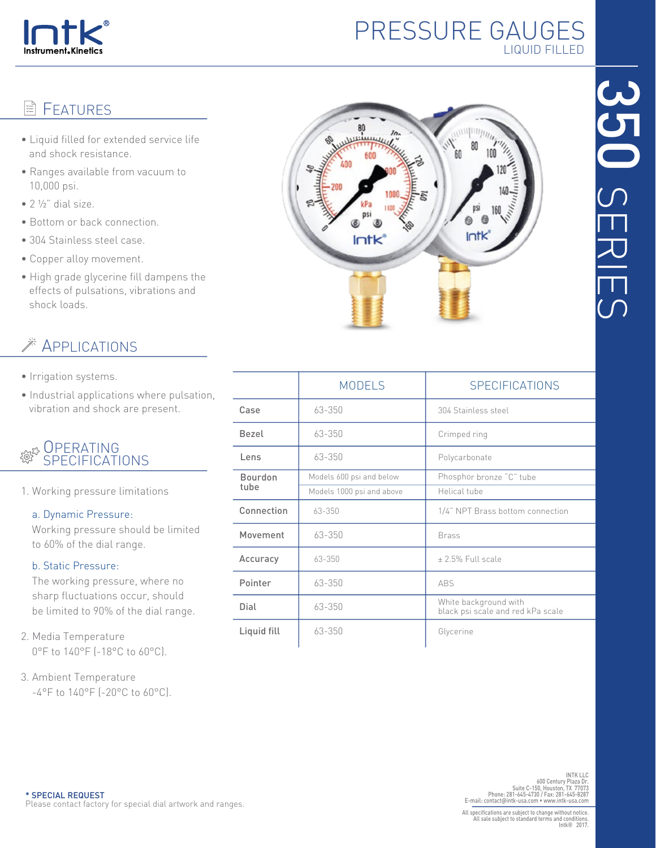

# PRESSURE GAUGES LIQUID FILLED

## **目 FFATURFS**

- Liquid filled for extended service life and shock resistance.
- Ranges available from vacuum to 10,000 psi.
- $\bullet$  2  $\frac{1}{2}$ " dial size.
- Bottom or back connection.
- 304 Stainless steel case.
- Copper alloy movement.
- High grade glycerine fill dampens the effects of pulsations, vibrations and shock loads.

## APPLICATIONS

- Irrigation systems.
- Industrial applications where pulsation, vibration and shock are present.

#### **OPERATING** <u> स</u>ुदेश SPECIFICATIONS

1. Working pressure limitations

#### a. Dynamic Pressure:

 Working pressure should be limited to 60% of the dial range.

### b. Static Pressure:

 The working pressure, where no sharp fluctuations occur, should be limited to 90% of the dial range.

- 2. Media Temperature 0°F to 140°F (-18°C to 60°C).
- 3. Ambient Temperature -4°F to 140°F (-20°C to 60°C).



|                        | <b>MODELS</b>             | <b>SPECIFICATIONS</b>                                      |  |  |  |
|------------------------|---------------------------|------------------------------------------------------------|--|--|--|
| Case                   | 63-350                    | 304 Stainless steel                                        |  |  |  |
| Bezel                  | 63-350                    | Crimped ring                                               |  |  |  |
| Lens                   | 63-350                    | Polycarbonate                                              |  |  |  |
| <b>Bourdon</b><br>tube | Models 600 psi and below  | Phosphor bronze "C" tube                                   |  |  |  |
|                        | Models 1000 psi and above | Helical tube                                               |  |  |  |
| Connection             | 63-350                    | 1/4" NPT Brass bottom connection                           |  |  |  |
| Movement               | 63-350                    | <b>Brass</b>                                               |  |  |  |
| Accuracy               | 63-350                    | +2.5% Full scale                                           |  |  |  |
| Pointer                | 63-350                    | <b>ABS</b>                                                 |  |  |  |
| Dial                   | 63-350                    | White background with<br>black psi scale and red kPa scale |  |  |  |
| Liquid fill            | 63-350                    | Glycerine                                                  |  |  |  |

INT LLC<br>INTK LLC<br>600 Century Plaza Dr.<br>Phone: 281-645-4730 / Fax: 281-645-4731<br>E-mail: contact@intk-usa.com • www.intk-usa.com<br>E-mail: contact@intk-usa.com • www.intk-usa.com